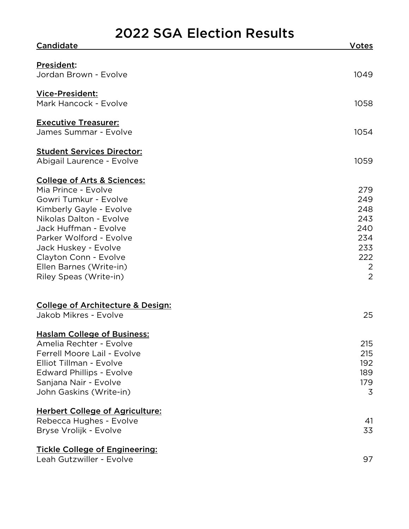## 2022 SGA Election Results

| <b>Candidate</b>                                     | Votes          |
|------------------------------------------------------|----------------|
|                                                      |                |
| <b>President:</b>                                    |                |
| Jordan Brown - Evolve                                | 1049           |
| Vice-President:                                      |                |
| Mark Hancock - Evolve                                | 1058           |
|                                                      |                |
| <b>Executive Treasurer:</b><br>James Summar - Evolve | 1054           |
|                                                      |                |
| <b>Student Services Director:</b>                    |                |
| Abigail Laurence - Evolve                            | 1059           |
| <b>College of Arts &amp; Sciences:</b>               |                |
| Mia Prince - Evolve                                  | 279            |
| Gowri Tumkur - Evolve                                | 249            |
| Kimberly Gayle - Evolve                              | 248            |
| Nikolas Dalton - Evolve                              | 243            |
| Jack Huffman - Evolve                                | 240            |
| Parker Wolford - Evolve                              | 234            |
| Jack Huskey - Evolve                                 | 233            |
| Clayton Conn - Evolve                                | 222            |
| Ellen Barnes (Write-in)                              | $\overline{2}$ |
| Riley Speas (Write-in)                               | $\overline{2}$ |
|                                                      |                |
| <b>College of Architecture &amp; Design:</b>         |                |
| Jakob Mikres - Evolve                                | 25             |
|                                                      |                |
| <b>Haslam College of Business:</b>                   |                |
| Amelia Rechter - Evolve                              | 215            |
| Ferrell Moore Lail - Evolve                          | 215            |
| Elliot Tillman - Evolve                              | 192            |
| <b>Edward Phillips - Evolve</b>                      | 189            |
| Sanjana Nair - Evolve                                | 179            |
| John Gaskins (Write-in)                              | $\overline{3}$ |
| <b>Herbert College of Agriculture:</b>               |                |
| Rebecca Hughes - Evolve                              | 41             |
| Bryse Vrolijk - Evolve                               | 33             |
| <b>Tickle College of Engineering:</b>                |                |
| Leah Gutzwiller - Evolve                             | 97             |
|                                                      |                |